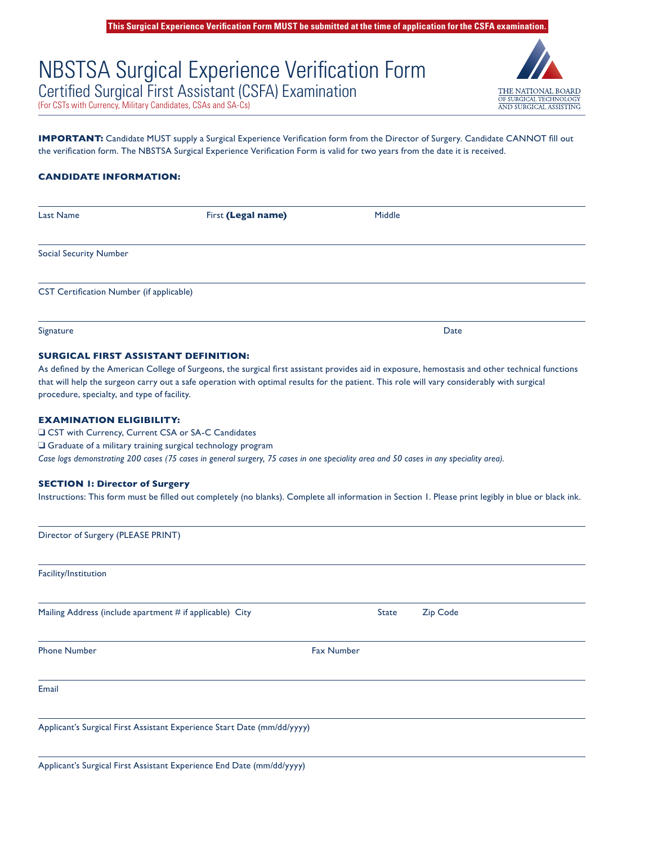THE NATIONAL BOARD OF SURGICAL TECHNOLOGY **AND SURGICAL ASSISTING** 

# NBSTSA Surgical Experience Verification Form Certified Surgical First Assistant (CSFA) Examination

(For CSTs with Currency, Military Candidates, CSAs and SA-Cs)

**IMPORTANT:** Candidate MUST supply a Surgical Experience Verification form from the Director of Surgery. Candidate CANNOT fill out the verification form. The NBSTSA Surgical Experience Verification Form is valid for two years from the date it is received.

# **CANDIDATE INFORMATION:**

| Last Name                                       | First (Legal name) | Middle |  |
|-------------------------------------------------|--------------------|--------|--|
| <b>Social Security Number</b>                   |                    |        |  |
| <b>CST Certification Number (if applicable)</b> |                    |        |  |
| Signature                                       |                    | Date   |  |

## **SURGICAL FIRST ASSISTANT DEFINITION:**

As defined by the American College of Surgeons, the surgical first assistant provides aid in exposure, hemostasis and other technical functions that will help the surgeon carry out a safe operation with optimal results for the patient. This role will vary considerably with surgical procedure, specialty, and type of facility.

# **EXAMINATION ELIGIBILITY:**

□ CST with Currency, Current CSA or SA-C Candidates  $\square$  Graduate of a military training surgical technology program *Case logs demonstrating 200 cases (75 cases in general surgery, 75 cases in one speciality area and 50 cases in any speciality area).*

## **SECTION 1: Director of Surgery**

Instructions: This form must be filled out completely (no blanks). Complete all information in Section 1. Please print legibly in blue or black ink.

| Director of Surgery (PLEASE PRINT)                                      |                   |          |
|-------------------------------------------------------------------------|-------------------|----------|
| Facility/Institution                                                    |                   |          |
| Mailing Address (include apartment # if applicable) City                | <b>State</b>      | Zip Code |
| <b>Phone Number</b>                                                     | <b>Fax Number</b> |          |
| Email                                                                   |                   |          |
| Applicant's Surgical First Assistant Experience Start Date (mm/dd/yyyy) |                   |          |